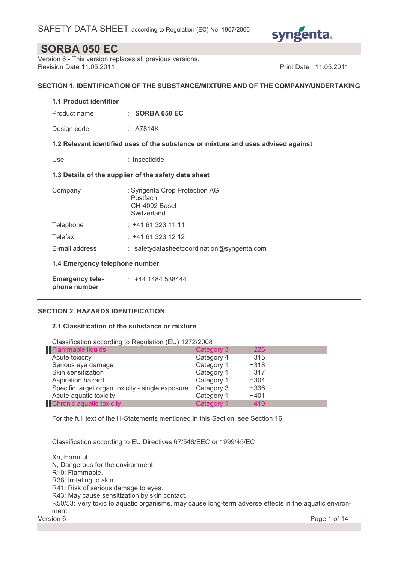

Version 6 - This version replaces all previous versions. Revision Date 11.05.2011 **Print Date 11.05.2011** Print Date 11.05.2011

## SECTION 1. IDENTIFICATION OF THE SUBSTANCE/MIXTURE AND OF THE COMPANY/UNDERTAKING

## 1.1 Product identifier

Product name : SORBA 050 EC

Design code : A7814K

1.2 Relevant identified uses of the substance or mixture and uses advised against

Use : Insecticide

### 1.3 Details of the supplier of the safety data sheet

| Company                        | : Syngenta Crop Protection AG<br>Postfach<br>CH-4002 Basel<br>Switzerland |
|--------------------------------|---------------------------------------------------------------------------|
| Telephone                      | $: +41613231111$                                                          |
| Telefax                        | $: +41613231212$                                                          |
| E-mail address                 | $:$ safetydatasheet coordination @ syngenta.com                           |
| 1.4 Emergency telephone number |                                                                           |
| <b>Emergency tele-</b>         | : +44 1484 538444                                                         |

## SECTION 2. HAZARDS IDENTIFICATION

phone number

### 2.1 Classification of the substance or mixture

Classification according to Regulation (EU) 1272/2008

| Flammable liquids                                | Category 3 | H <sub>226</sub>  |
|--------------------------------------------------|------------|-------------------|
| Acute toxicity                                   | Category 4 | H <sub>315</sub>  |
| Serious eye damage                               | Category 1 | H <sub>3</sub> 18 |
| Skin sensitization                               | Category 1 | H317              |
| Aspiration hazard                                | Category 1 | H <sub>304</sub>  |
| Specific target organ toxicity - single exposure | Category 3 | H <sub>336</sub>  |
| Acute aquatic toxicity                           | Category 1 | H401              |
| <b>Chronic aquatic toxicity</b>                  | Category 1 | H410              |

For the full text of the H-Statements mentioned in this Section, see Section 16.

Classification according to EU Directives 67/548/EEC or 1999/45/EC

Version 6 Page 1 of 14 Xn, Harmful N, Dangerous for the environment R10: Flammable. R38: Irritating to skin. R41: Risk of serious damage to eyes. R43: May cause sensitization by skin contact. R50/53: Very toxic to aquatic organisms, may cause long-term adverse effects in the aquatic environment.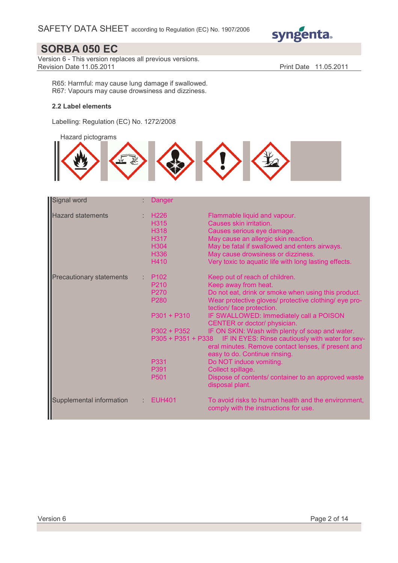

Version 6 - This version replaces all previous versions. Revision Date 11.05.2011 **Print Date 11.05.2011** 

R65: Harmful: may cause lung damage if swallowed. R67: Vapours may cause drowsiness and dizziness.

## 2.2 Label elements

Labelling: Regulation (EC) No. 1272/2008

Hazard pictograms



| Signal word                     | Danger                                                                                                         |                                                                                                                                                                                                                                                                                                                                                                                                                                                                                                                                                                                                                            |
|---------------------------------|----------------------------------------------------------------------------------------------------------------|----------------------------------------------------------------------------------------------------------------------------------------------------------------------------------------------------------------------------------------------------------------------------------------------------------------------------------------------------------------------------------------------------------------------------------------------------------------------------------------------------------------------------------------------------------------------------------------------------------------------------|
| <b>Hazard statements</b>        | H <sub>226</sub><br>H315<br><b>H318</b><br>H317<br>H304<br>H336<br>H410                                        | Flammable liquid and vapour.<br>Causes skin irritation.<br>Causes serious eye damage.<br>May cause an allergic skin reaction.<br>May be fatal if swallowed and enters airways.<br>May cause drowsiness or dizziness.<br>Very toxic to aquatic life with long lasting effects.                                                                                                                                                                                                                                                                                                                                              |
| <b>Precautionary statements</b> | P <sub>102</sub><br>P210<br>P <sub>270</sub><br>P280<br>$P301 + P310$<br>$P302 + P352$<br>P331<br>P391<br>P501 | Keep out of reach of children.<br>Keep away from heat.<br>Do not eat, drink or smoke when using this product.<br>Wear protective gloves/ protective clothing/ eye pro-<br>tection/ face protection.<br>IF SWALLOWED: Immediately call a POISON<br>CENTER or doctor/ physician.<br>IF ON SKIN: Wash with plenty of soap and water.<br>P305 + P351 + P338 IF IN EYES: Rinse cautiously with water for sev-<br>eral minutes. Remove contact lenses, if present and<br>easy to do. Continue rinsing.<br>Do NOT induce vomiting.<br>Collect spillage.<br>Dispose of contents/ container to an approved waste<br>disposal plant. |
| Supplemental information        | <b>EUH401</b>                                                                                                  | To avoid risks to human health and the environment,<br>comply with the instructions for use.                                                                                                                                                                                                                                                                                                                                                                                                                                                                                                                               |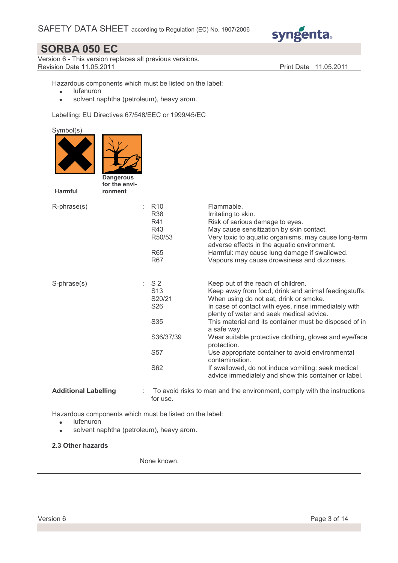

Version 6 - This version replaces all previous versions. **Revision Date 11.05.2011 Print Date 11.05.2011** 

Hazardous components which must be listed on the label:

- lufenuron
- solvent naphtha (petroleum), heavy arom.

Labelling: EU Directives 67/548/EEC or 1999/45/EC

| Symbol(s)<br><b>Dangerous</b><br>for the envi-<br><b>Harmful</b><br>ronment |    |                                                                                                                          |                                                                                                                                                                                                                                                                                                                                                                                                                                                                                                                                                                                |
|-----------------------------------------------------------------------------|----|--------------------------------------------------------------------------------------------------------------------------|--------------------------------------------------------------------------------------------------------------------------------------------------------------------------------------------------------------------------------------------------------------------------------------------------------------------------------------------------------------------------------------------------------------------------------------------------------------------------------------------------------------------------------------------------------------------------------|
| R-phrase(s)                                                                 |    | R <sub>10</sub><br><b>R38</b><br>R41<br>R43<br>R50/53<br><b>R65</b><br><b>R67</b>                                        | Flammable.<br>Irritating to skin.<br>Risk of serious damage to eyes.<br>May cause sensitization by skin contact.<br>Very toxic to aquatic organisms, may cause long-term<br>adverse effects in the aquatic environment.<br>Harmful: may cause lung damage if swallowed.<br>Vapours may cause drowsiness and dizziness.                                                                                                                                                                                                                                                         |
| S-phrase(s)                                                                 | t. | S <sub>2</sub><br>S <sub>13</sub><br>S20/21<br>S <sub>26</sub><br>S <sub>35</sub><br>S36/37/39<br>S <sub>57</sub><br>S62 | Keep out of the reach of children.<br>Keep away from food, drink and animal feedingstuffs.<br>When using do not eat, drink or smoke.<br>In case of contact with eyes, rinse immediately with<br>plenty of water and seek medical advice.<br>This material and its container must be disposed of in<br>a safe way.<br>Wear suitable protective clothing, gloves and eye/face<br>protection.<br>Use appropriate container to avoid environmental<br>contamination.<br>If swallowed, do not induce vomiting: seek medical<br>advice immediately and show this container or label. |
| <b>Additional Labelling</b>                                                 |    |                                                                                                                          | To avoid risks to man and the environment, comply with the instructions                                                                                                                                                                                                                                                                                                                                                                                                                                                                                                        |

for use.

Hazardous components which must be listed on the label:

- lufenuron
- solvent naphtha (petroleum), heavy arom.

### 2.3 Other hazards

None known.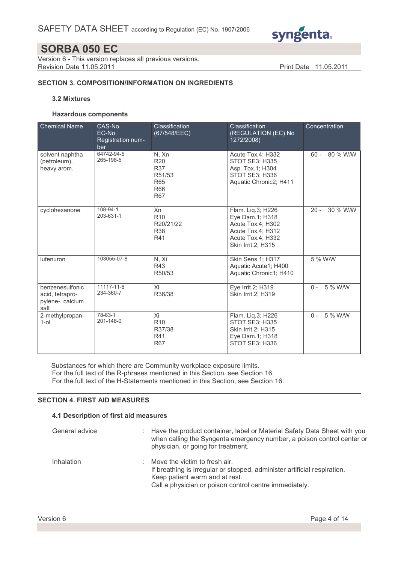

Version 6 - This version replaces all previous versions. Revision Date 11.05.2011 **Print Date 11.05.2011** 

## SECTION 3. COMPOSITION/INFORMATION ON INGREDIENTS

## 3.2 Mixtures

#### Hazardous components

| <b>Chemical Name</b>                                           | CAS-No.<br>EC-No.<br>Registration num-<br>ber | Classification<br>(67/548/EEC)                                                        | Classification<br>(REGULATION (EC) No<br>1272/2008)                                                                       | Concentration      |
|----------------------------------------------------------------|-----------------------------------------------|---------------------------------------------------------------------------------------|---------------------------------------------------------------------------------------------------------------------------|--------------------|
| solvent naphtha<br>(petroleum),<br>heavy arom.                 | 64742-94-5<br>265-198-5                       | N, Xn<br><b>R20</b><br><b>R37</b><br>R51/53<br><b>R65</b><br><b>R66</b><br><b>R67</b> | Acute Tox.4; H332<br>STOT SE3; H335<br>Asp. Tox.1; H304<br>STOT SE3; H336<br>Aquatic Chronic2; H411                       | 80 % W/W<br>$60 -$ |
| cyclohexanone                                                  | 108-94-1<br>203-631-1                         | Xn<br>R <sub>10</sub><br>R20/21/22<br><b>R38</b><br>R41                               | Flam. Liq.3; H226<br>Eye Dam.1; H318<br>Acute Tox.4; H302<br>Acute Tox.4; H312<br>Acute Tox.4; H332<br>Skin Irrit.2; H315 | 30 % W/W<br>$20 -$ |
| lufenuron                                                      | 103055-07-8                                   | N, Xi<br>R43<br>R50/53                                                                | Skin Sens.1; H317<br>Aquatic Acute1; H400<br>Aquatic Chronic1; H410                                                       | 5 % W/W            |
| benzenesulfonic<br>acid, tetrapro-<br>pylene-, calcium<br>salt | 11117-11-6<br>234-360-7                       | Xi<br>R36/38                                                                          | Eye Irrit.2; H319<br><b>Skin Irrit.2: H319</b>                                                                            | 5 % W/W<br>$0 -$   |
| 2-methylpropan-<br>$1$ -ol                                     | 78-83-1<br>201-148-0                          | Xi<br>R <sub>10</sub><br>R37/38<br>R41<br><b>R67</b>                                  | Flam. Liq.3; H226<br>STOT SE3; H335<br><b>Skin Irrit.2: H315</b><br>Eye Dam.1; H318<br>STOT SE3; H336                     | 5 % W/W<br>$0 -$   |

Substances for which there are Community workplace exposure limits. For the full text of the R-phrases mentioned in this Section, see Section 16. For the full text of the H-Statements mentioned in this Section, see Section 16.

#### SECTION 4. FIRST AID MEASURES

## 4.1 Description of first aid measures

| General advice | : Have the product container, label or Material Safety Data Sheet with you<br>when calling the Syngenta emergency number, a poison control center or<br>physician, or going for treatment.            |
|----------------|-------------------------------------------------------------------------------------------------------------------------------------------------------------------------------------------------------|
| Inhalation     | Move the victim to fresh air.<br>If breathing is irregular or stopped, administer artificial respiration.<br>Keep patient warm and at rest.<br>Call a physician or poison control centre immediately. |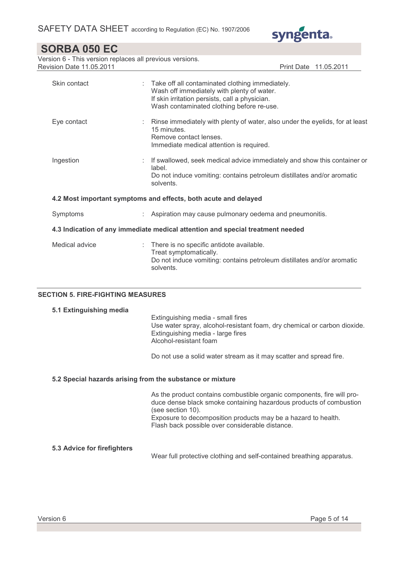

Version 6 - This version replaces all previous versions. Revision Date 11.05.2011 **Print Date 11.05.2011** 

| Skin contact   | : Take off all contaminated clothing immediately.<br>Wash off immediately with plenty of water.<br>If skin irritation persists, call a physician.<br>Wash contaminated clothing before re-use. |
|----------------|------------------------------------------------------------------------------------------------------------------------------------------------------------------------------------------------|
| Eye contact    | : Rinse immediately with plenty of water, also under the eyelids, for at least<br>15 minutes.<br>Remove contact lenses.<br>Immediate medical attention is required.                            |
| Ingestion      | : If swallowed, seek medical advice immediately and show this container or<br>label.<br>Do not induce vomiting: contains petroleum distillates and/or aromatic<br>solvents.                    |
|                | 4.2 Most important symptoms and effects, both acute and delayed                                                                                                                                |
| Symptoms       | Aspiration may cause pulmonary oedema and pneumonitis.                                                                                                                                         |
|                | 4.3 Indication of any immediate medical attention and special treatment needed                                                                                                                 |
| Medical advice | There is no specific antidote available.<br>Treat symptomatically.<br>Do not induce vomiting: contains petroleum distillates and/or aromatic<br>solvents.                                      |

## SECTION 5. FIRE-FIGHTING MEASURES

#### 5.1 Extinguishing media

 Extinguishing media - small fires Use water spray, alcohol-resistant foam, dry chemical or carbon dioxide. Extinguishing media - large fires Alcohol-resistant foam

Do not use a solid water stream as it may scatter and spread fire.

#### 5.2 Special hazards arising from the substance or mixture

 As the product contains combustible organic components, fire will produce dense black smoke containing hazardous products of combustion (see section 10). Exposure to decomposition products may be a hazard to health. Flash back possible over considerable distance.

## 5.3 Advice for firefighters

Wear full protective clothing and self-contained breathing apparatus.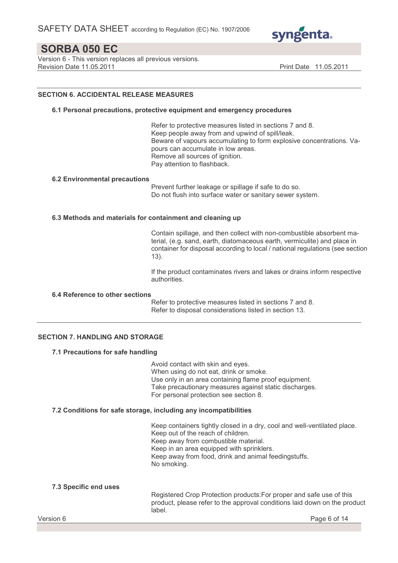

Version 6 - This version replaces all previous versions. Revision Date 11.05.2011 **Print Date 11.05.2011** Print Date 11.05.2011

### SECTION 6. ACCIDENTAL RELEASE MEASURES

#### 6.1 Personal precautions, protective equipment and emergency procedures

 Refer to protective measures listed in sections 7 and 8. Keep people away from and upwind of spill/leak. Beware of vapours accumulating to form explosive concentrations. Vapours can accumulate in low areas. Remove all sources of ignition. Pay attention to flashback.

#### 6.2 Environmental precautions

 Prevent further leakage or spillage if safe to do so. Do not flush into surface water or sanitary sewer system.

#### 6.3 Methods and materials for containment and cleaning up

 Contain spillage, and then collect with non-combustible absorbent material, (e.g. sand, earth, diatomaceous earth, vermiculite) and place in container for disposal according to local / national regulations (see section 13).

 If the product contaminates rivers and lakes or drains inform respective authorities.

#### 6.4 Reference to other sections

 Refer to protective measures listed in sections 7 and 8. Refer to disposal considerations listed in section 13.

### SECTION 7. HANDLING AND STORAGE

#### 7.1 Precautions for safe handling

 Avoid contact with skin and eyes. When using do not eat, drink or smoke. Use only in an area containing flame proof equipment. Take precautionary measures against static discharges. For personal protection see section 8.

#### 7.2 Conditions for safe storage, including any incompatibilities

 Keep containers tightly closed in a dry, cool and well-ventilated place. Keep out of the reach of children. Keep away from combustible material. Keep in an area equipped with sprinklers. Keep away from food, drink and animal feedingstuffs. No smoking.

#### 7.3 Specific end uses

 Registered Crop Protection products:For proper and safe use of this product, please refer to the approval conditions laid down on the product label.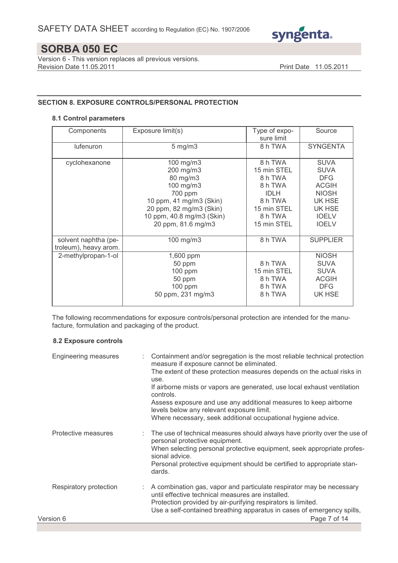

Version 6 - This version replaces all previous versions. Revision Date 11.05.2011 **Print Date 11.05.2011** 

## SECTION 8. EXPOSURE CONTROLS/PERSONAL PROTECTION

### 8.1 Control parameters

| Components                                    | Exposure limit(s)                                                                                                                                                   | Type of expo-<br>sure limit                                                                                     | Source                                                                                                                       |
|-----------------------------------------------|---------------------------------------------------------------------------------------------------------------------------------------------------------------------|-----------------------------------------------------------------------------------------------------------------|------------------------------------------------------------------------------------------------------------------------------|
| lufenuron                                     | $5$ mg/m $3$                                                                                                                                                        | 8 h TWA                                                                                                         | <b>SYNGENTA</b>                                                                                                              |
| cyclohexanone                                 | 100 mg/m3<br>200 mg/m3<br>80 mg/m3<br>100 mg/m3<br>700 ppm<br>10 ppm, 41 mg/m3 (Skin)<br>20 ppm, 82 mg/m3 (Skin)<br>10 ppm, 40.8 mg/m3 (Skin)<br>20 ppm, 81.6 mg/m3 | 8 h TWA<br>15 min STEL<br>8 h TWA<br>8 h TWA<br><b>IDLH</b><br>8 h TWA<br>15 min STEL<br>8 h TWA<br>15 min STEL | <b>SUVA</b><br><b>SUVA</b><br><b>DFG</b><br><b>ACGIH</b><br><b>NIOSH</b><br>UK HSE<br>UK HSE<br><b>IOELV</b><br><b>IOELV</b> |
| solvent naphtha (pe-<br>troleum), heavy arom. | 100 mg/m3                                                                                                                                                           | 8 h TWA                                                                                                         | <b>SUPPLIER</b>                                                                                                              |
| 2-methylpropan-1-ol                           | 1,600 ppm<br>50 ppm<br>$100$ ppm<br>50 ppm<br>100 ppm<br>50 ppm, 231 mg/m3                                                                                          | 8 h TWA<br>15 min STEL<br>8 h TWA<br>8 h TWA<br>8 h TWA                                                         | <b>NIOSH</b><br><b>SUVA</b><br><b>SUVA</b><br><b>ACGIH</b><br><b>DFG</b><br>UK HSE                                           |

The following recommendations for exposure controls/personal protection are intended for the manufacture, formulation and packaging of the product.

#### 8.2 Exposure controls

| Engineering measures   | : Containment and/or segregation is the most reliable technical protection<br>measure if exposure cannot be eliminated.<br>The extent of these protection measures depends on the actual risks in<br>use.<br>If airborne mists or vapors are generated, use local exhaust ventilation<br>controls. |
|------------------------|----------------------------------------------------------------------------------------------------------------------------------------------------------------------------------------------------------------------------------------------------------------------------------------------------|
|                        | Assess exposure and use any additional measures to keep airborne<br>levels below any relevant exposure limit.<br>Where necessary, seek additional occupational hygiene advice.                                                                                                                     |
| Protective measures    | : The use of technical measures should always have priority over the use of<br>personal protective equipment.<br>When selecting personal protective equipment, seek appropriate profes-<br>sional advice.<br>Personal protective equipment should be certified to appropriate stan-<br>dards.      |
| Respiratory protection | : A combination gas, vapor and particulate respirator may be necessary<br>until effective technical measures are installed.<br>Protection provided by air-purifying respirators is limited.<br>Use a self-contained breathing apparatus in cases of emergency spills,                              |
| Version 6              | Page 7 of 14                                                                                                                                                                                                                                                                                       |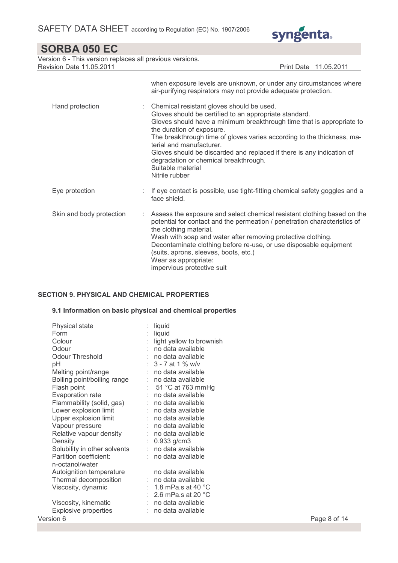

| SORBA 050 EC                                                                                |                                                                                                                                                                                                                                                                                                                                                                                                                                                                          |
|---------------------------------------------------------------------------------------------|--------------------------------------------------------------------------------------------------------------------------------------------------------------------------------------------------------------------------------------------------------------------------------------------------------------------------------------------------------------------------------------------------------------------------------------------------------------------------|
| Version 6 - This version replaces all previous versions.<br><b>Revision Date 11.05.2011</b> | Print Date 11.05.2011                                                                                                                                                                                                                                                                                                                                                                                                                                                    |
|                                                                                             | when exposure levels are unknown, or under any circumstances where<br>air-purifying respirators may not provide adequate protection.                                                                                                                                                                                                                                                                                                                                     |
| Hand protection                                                                             | Chemical resistant gloves should be used.<br>Gloves should be certified to an appropriate standard.<br>Gloves should have a minimum breakthrough time that is appropriate to<br>the duration of exposure.<br>The breakthrough time of gloves varies according to the thickness, ma-<br>terial and manufacturer.<br>Gloves should be discarded and replaced if there is any indication of<br>degradation or chemical breakthrough.<br>Suitable material<br>Nitrile rubber |
| Eye protection                                                                              | If eye contact is possible, use tight-fitting chemical safety goggles and a<br>face shield.                                                                                                                                                                                                                                                                                                                                                                              |
| Skin and body protection                                                                    | Assess the exposure and select chemical resistant clothing based on the<br>÷<br>potential for contact and the permeation / penetration characteristics of<br>the clothing material.<br>Wash with soap and water after removing protective clothing.<br>Decontaminate clothing before re-use, or use disposable equipment<br>(suits, aprons, sleeves, boots, etc.)<br>Wear as appropriate:<br>impervious protective suit                                                  |

## SECTION 9. PHYSICAL AND CHEMICAL PROPERTIES

## 9.1 Information on basic physical and chemical properties

| Physical state<br>Form<br>Colour<br>Odour<br>Odour Threshold<br>pH<br>Melting point/range<br>Boiling point/boiling range<br>Flash point<br>Evaporation rate<br>Flammability (solid, gas) : no data available<br>Lower explosion limit<br>Upper explosion limit<br>Vapour pressure<br>Relative vapour density<br>Density | : liquid<br>liquid<br>light yellow to brownish<br>: no data available<br>$:$ no data available<br>: $3 - 7$ at 1 % w/v<br>: no data available<br>: no data available<br>$\therefore$ 51 °C at 763 mmHg<br>$:$ no data available<br>: no data available<br>: no data available<br>: no data available<br>: no data available<br>: $0.933$ g/cm3 |              |
|-------------------------------------------------------------------------------------------------------------------------------------------------------------------------------------------------------------------------------------------------------------------------------------------------------------------------|------------------------------------------------------------------------------------------------------------------------------------------------------------------------------------------------------------------------------------------------------------------------------------------------------------------------------------------------|--------------|
| Solubility in other solvents                                                                                                                                                                                                                                                                                            | : no data available                                                                                                                                                                                                                                                                                                                            |              |
| Partition coefficient:<br>n-octanol/water                                                                                                                                                                                                                                                                               | : no data available                                                                                                                                                                                                                                                                                                                            |              |
| Autoignition temperature                                                                                                                                                                                                                                                                                                | no data available                                                                                                                                                                                                                                                                                                                              |              |
| Thermal decomposition                                                                                                                                                                                                                                                                                                   | : no data available                                                                                                                                                                                                                                                                                                                            |              |
| Viscosity, dynamic                                                                                                                                                                                                                                                                                                      | : 1.8 mPa.s at 40 $^{\circ}$ C<br>$\therefore$ 2.6 mPa.s at 20 °C                                                                                                                                                                                                                                                                              |              |
| Viscosity, kinematic                                                                                                                                                                                                                                                                                                    | : no data available                                                                                                                                                                                                                                                                                                                            |              |
| <b>Explosive properties</b>                                                                                                                                                                                                                                                                                             | : no data available                                                                                                                                                                                                                                                                                                                            |              |
| Version 6                                                                                                                                                                                                                                                                                                               |                                                                                                                                                                                                                                                                                                                                                | Page 8 of 14 |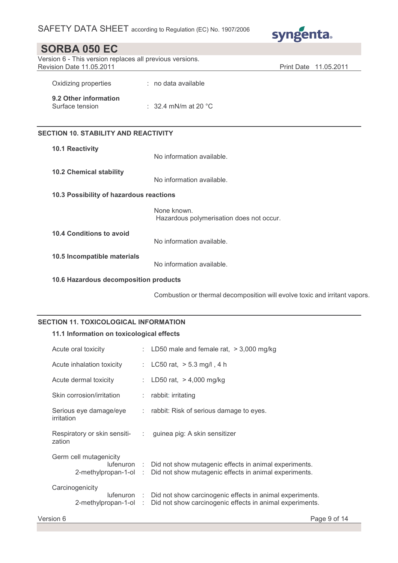

| <b>SORBA 050 EC</b>                                                                  |                                                         |                                 |
|--------------------------------------------------------------------------------------|---------------------------------------------------------|---------------------------------|
| Version 6 - This version replaces all previous versions.<br>Revision Date 11.05.2011 |                                                         | <b>Print Date</b><br>11.05.2011 |
| Oxidizing properties                                                                 | : no data available                                     |                                 |
| 9.2 Other information<br>Surface tension                                             | : 32.4 mN/m at 20 $^{\circ}$ C                          |                                 |
| <b>SECTION 10. STABILITY AND REACTIVITY</b>                                          |                                                         |                                 |
| 10.1 Reactivity                                                                      | No information available.                               |                                 |
| <b>10.2 Chemical stability</b>                                                       | No information available.                               |                                 |
| 10.3 Possibility of hazardous reactions                                              |                                                         |                                 |
|                                                                                      | None known.<br>Hazardous polymerisation does not occur. |                                 |
| 10.4 Conditions to avoid                                                             | No information available.                               |                                 |
| 10.5 Incompatible materials                                                          | No information available.                               |                                 |
| 10.6 Hazardous decomposition products                                                |                                                         |                                 |

Combustion or thermal decomposition will evolve toxic and irritant vapors.

## SECTION 11. TOXICOLOGICAL INFORMATION

## 11.1 Information on toxicological effects

| Acute oral toxicity                  |  | : LD50 male and female rat, $>$ 3,000 mg/kg                                                                                                            |
|--------------------------------------|--|--------------------------------------------------------------------------------------------------------------------------------------------------------|
| Acute inhalation toxicity            |  | : LC50 rat, $>$ 5.3 mg/l, 4 h                                                                                                                          |
| Acute dermal toxicity                |  | : LD50 rat, $>$ 4,000 mg/kg                                                                                                                            |
| Skin corrosion/irritation            |  | $:$ rabbit: irritating                                                                                                                                 |
| Serious eye damage/eye<br>irritation |  | $\therefore$ rabbit: Risk of serious damage to eyes.                                                                                                   |
| zation                               |  | Respiratory or skin sensiti- : guinea pig: A skin sensitizer                                                                                           |
| Germ cell mutagenicity               |  |                                                                                                                                                        |
|                                      |  | lufenuron : Did not show mutagenic effects in animal experiments.<br>2-methylpropan-1-ol : Did not show mutagenic effects in animal experiments.       |
| Carcinogenicity                      |  | lufenuron : Did not show carcinogenic effects in animal experiments.<br>2-methylpropan-1-ol : Did not show carcinogenic effects in animal experiments. |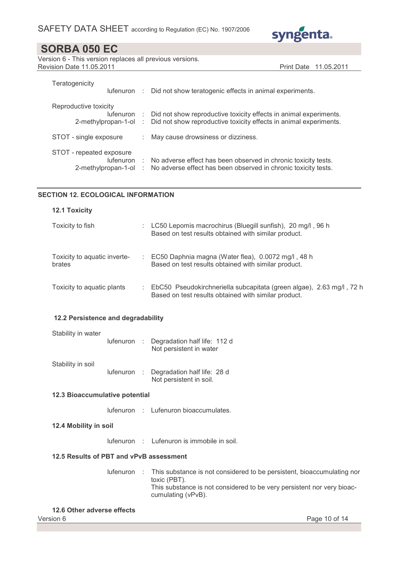

Version 6 - This version replaces all previous versions. Revision Date 11.05.2011 **Print Date 11.05.2011** 

| Teratogenicity           |    | lufenuron : Did not show teratogenic effects in animal experiments.           |
|--------------------------|----|-------------------------------------------------------------------------------|
| Reproductive toxicity    |    |                                                                               |
|                          |    | lufenuron : Did not show reproductive toxicity effects in animal experiments. |
| 2-methylpropan-1-ol      |    | : Did not show reproductive toxicity effects in animal experiments.           |
|                          |    |                                                                               |
| STOT - single exposure   | ÷. | May cause drowsiness or dizziness.                                            |
|                          |    |                                                                               |
| STOT - repeated exposure |    |                                                                               |
|                          |    | lufenuron : No adverse effect has been observed in chronic toxicity tests.    |
| 2-methylpropan-1-ol      |    | : No adverse effect has been observed in chronic toxicity tests.              |
|                          |    |                                                                               |

## SECTION 12. ECOLOGICAL INFORMATION

| <b>12.1 Toxicity</b>                   |   |                                                                                                                              |
|----------------------------------------|---|------------------------------------------------------------------------------------------------------------------------------|
| Toxicity to fish                       |   | LC50 Lepomis macrochirus (Bluegill sunfish), 20 mg/l, 96 h<br>Based on test results obtained with similar product.           |
| Toxicity to aquatic inverte-<br>brates | ÷ | EC50 Daphnia magna (Water flea), 0.0072 mg/l, 48 h<br>Based on test results obtained with similar product.                   |
| Toxicity to aquatic plants             |   | EbC50 Pseudokirchneriella subcapitata (green algae), 2.63 mg/l, 72 h<br>Based on test results obtained with similar product. |

## 12.2 Persistence and degradability

| Stability in water |  | lufenuron : Degradation half life: 112 d<br>Not persistent in water |  |
|--------------------|--|---------------------------------------------------------------------|--|
| Stability in soil  |  | lufenuron : Degradation half life: 28 d<br>Not persistent in soil.  |  |

#### 12.3 Bioaccumulative potential

lufenuron : Lufenuron bioaccumulates.

#### 12.4 Mobility in soil

lufenuron : Lufenuron is immobile in soil.

#### 12.5 Results of PBT and vPvB assessment

lufenuron : This substance is not considered to be persistent, bioaccumulating nor toxic (PBT). This substance is not considered to be very persistent nor very bioaccumulating (vPvB).

#### 12.6 Other adverse effects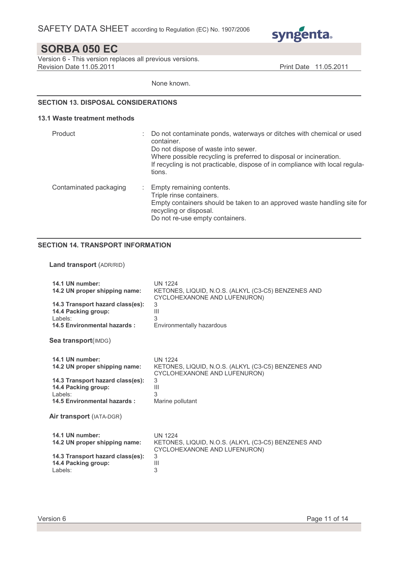

Version 6 - This version replaces all previous versions. Revision Date 11.05.2011 **Print Date 11.05.2011** 

None known.

### SECTION 13. DISPOSAL CONSIDERATIONS

#### 13.1 Waste treatment methods

| Product                | ٠ | Do not contaminate ponds, waterways or ditches with chemical or used<br>container.<br>Do not dispose of waste into sewer.<br>Where possible recycling is preferred to disposal or incineration.<br>If recycling is not practicable, dispose of in compliance with local regula-<br>tions. |
|------------------------|---|-------------------------------------------------------------------------------------------------------------------------------------------------------------------------------------------------------------------------------------------------------------------------------------------|
| Contaminated packaging |   | Empty remaining contents.<br>Triple rinse containers.<br>Empty containers should be taken to an approved waste handling site for<br>recycling or disposal.<br>Do not re-use empty containers.                                                                                             |

## SECTION 14. TRANSPORT INFORMATION

### Land transport (ADR/RID)

| 14.1 UN number:                                                                                                                                       | <b>UN 1224</b>                                                                                                                                        |
|-------------------------------------------------------------------------------------------------------------------------------------------------------|-------------------------------------------------------------------------------------------------------------------------------------------------------|
| 14.2 UN proper shipping name:                                                                                                                         | KETONES, LIQUID, N.O.S. (ALKYL (C3-C5) BENZENES AND                                                                                                   |
| 14.3 Transport hazard class(es):                                                                                                                      | CYCLOHEXANONE AND LUFENURON)                                                                                                                          |
| 14.4 Packing group:                                                                                                                                   | 3                                                                                                                                                     |
| Labels:                                                                                                                                               | Ш                                                                                                                                                     |
| 14.5 Environmental hazards:                                                                                                                           | 3                                                                                                                                                     |
| Sea transport(IMDG)                                                                                                                                   | Environmentally hazardous                                                                                                                             |
| 14.1 UN number:<br>14.2 UN proper shipping name:<br>14.3 Transport hazard class(es):<br>14.4 Packing group:<br>Labels:<br>14.5 Environmental hazards: | <b>UN 1224</b><br>KETONES, LIQUID, N.O.S. (ALKYL (C3-C5) BENZENES AND<br>CYCLOHEXANONE AND LUFENURON)<br>3<br>$\mathbf{III}$<br>3<br>Marine pollutant |
| Air transport (IATA-DGR)                                                                                                                              | <b>UN 1224</b>                                                                                                                                        |
| 14.1 UN number:                                                                                                                                       | KETONES, LIQUID, N.O.S. (ALKYL (C3-C5) BENZENES AND                                                                                                   |
| 14.2 UN proper shipping name:                                                                                                                         | CYCLOHEXANONE AND LUFENURON)                                                                                                                          |
| 14.3 Transport hazard class(es):                                                                                                                      | 3                                                                                                                                                     |
| 14.4 Packing group:                                                                                                                                   | $\mathbf{III}$                                                                                                                                        |
| Labels:                                                                                                                                               | 3                                                                                                                                                     |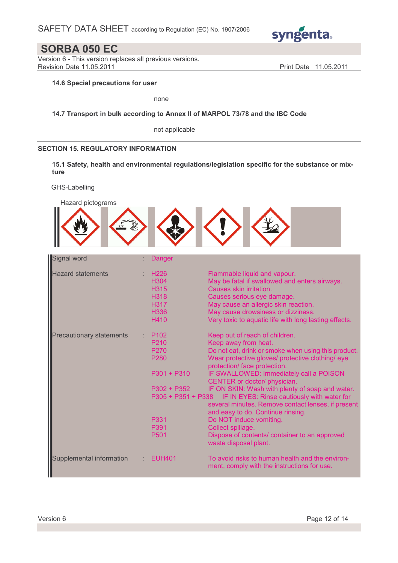

Version 6 - This version replaces all previous versions. Revision Date 11.05.2011 **Print Date 11.05.2011** Print Date 11.05.2011

## 14.6 Special precautions for user

none

### 14.7 Transport in bulk according to Annex II of MARPOL 73/78 and the IBC Code

not applicable

### SECTION 15. REGULATORY INFORMATION

15.1 Safety, health and environmental regulations/legislation specific for the substance or mixture

GHS-Labelling

| Hazard pictograms               |                                                                                                                          |                                                                                                                                                                                                                                                                                                                                                                                                                                                                                                                                                                                                     |
|---------------------------------|--------------------------------------------------------------------------------------------------------------------------|-----------------------------------------------------------------------------------------------------------------------------------------------------------------------------------------------------------------------------------------------------------------------------------------------------------------------------------------------------------------------------------------------------------------------------------------------------------------------------------------------------------------------------------------------------------------------------------------------------|
|                                 |                                                                                                                          |                                                                                                                                                                                                                                                                                                                                                                                                                                                                                                                                                                                                     |
| Signal word                     | Danger                                                                                                                   |                                                                                                                                                                                                                                                                                                                                                                                                                                                                                                                                                                                                     |
| <b>Hazard statements</b>        | H <sub>226</sub><br>H304<br><b>H315</b><br><b>H318</b><br><b>H317</b><br>H336<br>H410                                    | Flammable liquid and vapour.<br>May be fatal if swallowed and enters airways.<br>Causes skin irritation.<br>Causes serious eye damage.<br>May cause an allergic skin reaction.<br>May cause drowsiness or dizziness.<br>Very toxic to aquatic life with long lasting effects.                                                                                                                                                                                                                                                                                                                       |
| <b>Precautionary statements</b> | P <sub>102</sub><br>P210<br>P270<br>P280<br>$P301 + P310$<br>$P302 + P352$<br>P305 + P351 + P338<br>P331<br>P391<br>P501 | Keep out of reach of children.<br>Keep away from heat.<br>Do not eat, drink or smoke when using this product.<br>Wear protective gloves/ protective clothing/ eye<br>protection/ face protection.<br>IF SWALLOWED: Immediately call a POISON<br>CENTER or doctor/ physician.<br>IF ON SKIN: Wash with plenty of soap and water.<br>IF IN EYES: Rinse cautiously with water for<br>several minutes. Remove contact lenses, if present<br>and easy to do. Continue rinsing.<br>Do NOT induce vomiting.<br>Collect spillage.<br>Dispose of contents/ container to an approved<br>waste disposal plant. |
| Supplemental information        | <b>EUH401</b>                                                                                                            | To avoid risks to human health and the environ-<br>ment, comply with the instructions for use.                                                                                                                                                                                                                                                                                                                                                                                                                                                                                                      |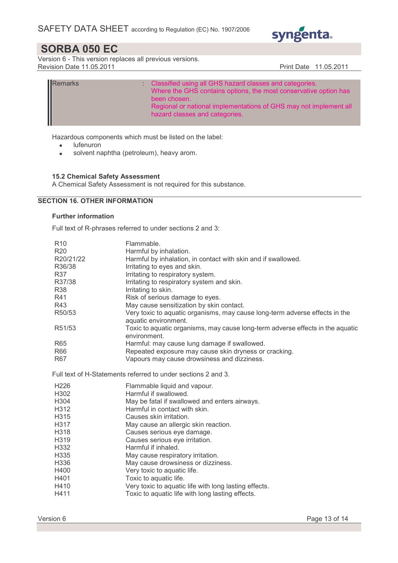

Version 6 - This version replaces all previous versions. Revision Date 11.05.2011 **Print Date 11.05.2011** 

| Remarks | Classified using all GHS hazard classes and categories.<br>Where the GHS contains options, the most conservative option has<br>been chosen.<br>Regional or national implementations of GHS may not implement all |
|---------|------------------------------------------------------------------------------------------------------------------------------------------------------------------------------------------------------------------|
|         | hazard classes and categories.                                                                                                                                                                                   |

Hazardous components which must be listed on the label:

- lufenuron
- solvent naphtha (petroleum), heavy arom.

## 15.2 Chemical Safety Assessment

A Chemical Safety Assessment is not required for this substance.

## SECTION 16. OTHER INFORMATION

#### Further information

Full text of R-phrases referred to under sections 2 and 3:

| R <sub>10</sub> | Flammable.                                                                                          |
|-----------------|-----------------------------------------------------------------------------------------------------|
| <b>R20</b>      | Harmful by inhalation.                                                                              |
| R20/21/22       | Harmful by inhalation, in contact with skin and if swallowed.                                       |
| R36/38          | Irritating to eyes and skin.                                                                        |
| <b>R37</b>      | Irritating to respiratory system.                                                                   |
| R37/38          | Irritating to respiratory system and skin.                                                          |
| <b>R38</b>      | Irritating to skin.                                                                                 |
| R41             | Risk of serious damage to eyes.                                                                     |
| R43             | May cause sensitization by skin contact.                                                            |
| R50/53          | Very toxic to aquatic organisms, may cause long-term adverse effects in the<br>aquatic environment. |
| R51/53          | Toxic to aquatic organisms, may cause long-term adverse effects in the aquatic<br>environment.      |
| R <sub>65</sub> | Harmful: may cause lung damage if swallowed.                                                        |
| R66             | Repeated exposure may cause skin dryness or cracking.                                               |
| R67             | Vapours may cause drowsiness and dizziness.                                                         |
|                 | Full text of H-Statements referred to under sections 2 and 3.                                       |
| H226            | Flammable liquid and vapour.                                                                        |
| H302            | Harmful if swallowed.                                                                               |
| H304            | May be fatal if swallowed and enters airways.                                                       |
| H312            | Harmful in contact with skin.                                                                       |
| H315            | Causes skin irritation.                                                                             |
| H317            | May cause an allergic skin reaction.                                                                |
| H318            | Causes serious eye damage.                                                                          |
| H319            | Causes serious eye irritation.                                                                      |
| H332            | Harmful if inhaled.                                                                                 |
| H335            | May cause respiratory irritation.                                                                   |
| H336            | May cause drowsiness or dizziness.                                                                  |
| H400            | Very toxic to aquatic life.                                                                         |
| H401            | Toxic to aquatic life.                                                                              |
| H410            | Very toxic to aquatic life with long lasting effects.                                               |
| H411            | Toxic to aquatic life with long lasting effects.                                                    |